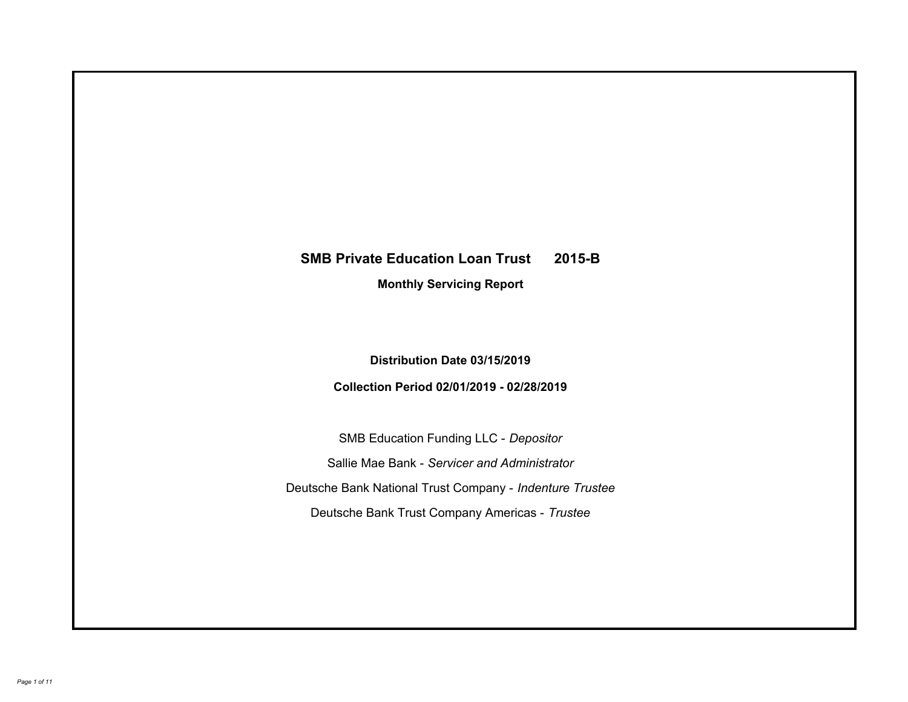# **SMB Private Education Loan Trust 2015-B Monthly Servicing Report**

# **Distribution Date 03/15/2019**

# **Collection Period 02/01/2019 - 02/28/2019**

SMB Education Funding LLC - *Depositor* Sallie Mae Bank - *Servicer and Administrator* Deutsche Bank National Trust Company - *Indenture Trustee* Deutsche Bank Trust Company Americas - *Trustee*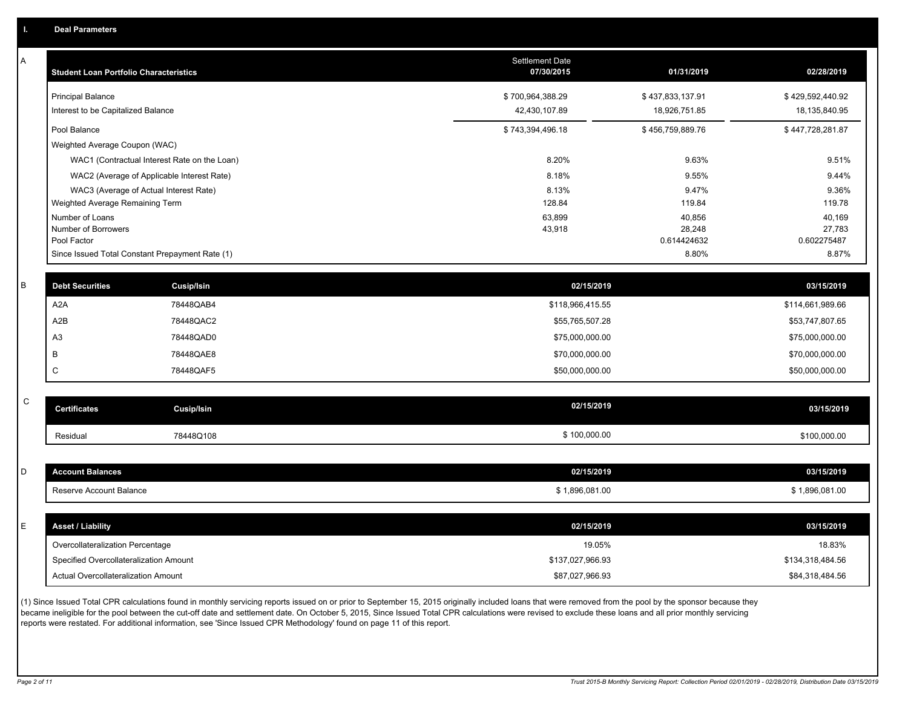A

| Α | <b>Student Loan Portfolio Characteristics</b>   |                   | <b>Settlement Date</b><br>07/30/2015 | 01/31/2019            | 02/28/2019            |
|---|-------------------------------------------------|-------------------|--------------------------------------|-----------------------|-----------------------|
|   | <b>Principal Balance</b>                        |                   | \$700,964,388.29                     | \$437,833,137.91      | \$429,592,440.92      |
|   | Interest to be Capitalized Balance              |                   | 42,430,107.89                        | 18,926,751.85         | 18,135,840.95         |
|   | Pool Balance                                    |                   | \$743,394,496.18                     | \$456,759,889.76      | \$447,728,281.87      |
|   | Weighted Average Coupon (WAC)                   |                   |                                      |                       |                       |
|   | WAC1 (Contractual Interest Rate on the Loan)    |                   | 8.20%                                | 9.63%                 | 9.51%                 |
|   | WAC2 (Average of Applicable Interest Rate)      |                   | 8.18%                                | 9.55%                 | 9.44%                 |
|   | WAC3 (Average of Actual Interest Rate)          |                   | 8.13%                                | 9.47%                 | 9.36%                 |
|   | Weighted Average Remaining Term                 |                   | 128.84                               | 119.84                | 119.78                |
|   | Number of Loans                                 |                   | 63,899                               | 40,856                | 40,169                |
|   | Number of Borrowers<br>Pool Factor              |                   | 43,918                               | 28,248<br>0.614424632 | 27,783<br>0.602275487 |
|   | Since Issued Total Constant Prepayment Rate (1) |                   |                                      | 8.80%                 | 8.87%                 |
|   |                                                 |                   |                                      |                       |                       |
| B | <b>Debt Securities</b>                          | Cusip/Isin        | 02/15/2019                           |                       | 03/15/2019            |
|   | A <sub>2</sub> A                                | 78448QAB4         | \$118,966,415.55                     |                       | \$114,661,989.66      |
|   | A2B                                             | 78448QAC2         | \$55,765,507.28                      |                       | \$53,747,807.65       |
|   | A <sub>3</sub>                                  | 78448QAD0         | \$75,000,000.00                      |                       | \$75,000,000.00       |
|   | B                                               | 78448QAE8         | \$70,000,000.00                      |                       | \$70,000,000.00       |
|   | $\mathsf{C}$                                    | 78448QAF5         | \$50,000,000.00                      |                       | \$50,000,000.00       |
|   |                                                 |                   |                                      |                       |                       |
| C | <b>Certificates</b>                             | <b>Cusip/Isin</b> | 02/15/2019                           |                       | 03/15/2019            |
|   | Residual                                        | 78448Q108         | \$100,000.00                         |                       | \$100,000.00          |
|   |                                                 |                   |                                      |                       |                       |
| D | <b>Account Balances</b>                         |                   | 02/15/2019                           |                       | 03/15/2019            |
|   | Reserve Account Balance                         |                   | \$1,896,081.00                       |                       | \$1,896,081.00        |
|   |                                                 |                   |                                      |                       |                       |
| E | <b>Asset / Liability</b>                        |                   | 02/15/2019                           |                       | 03/15/2019            |
|   | Overcollateralization Percentage                |                   | 19.05%                               |                       | 18.83%                |
|   | Specified Overcollateralization Amount          |                   | \$137,027,966.93                     |                       | \$134,318,484.56      |
|   | Actual Overcollateralization Amount             |                   | \$87,027,966.93                      |                       | \$84,318,484.56       |
|   |                                                 |                   |                                      |                       |                       |

(1) Since Issued Total CPR calculations found in monthly servicing reports issued on or prior to September 15, 2015 originally included loans that were removed from the pool by the sponsor because they became ineligible for the pool between the cut-off date and settlement date. On October 5, 2015, Since Issued Total CPR calculations were revised to exclude these loans and all prior monthly servicing reports were restated. For additional information, see 'Since Issued CPR Methodology' found on page 11 of this report.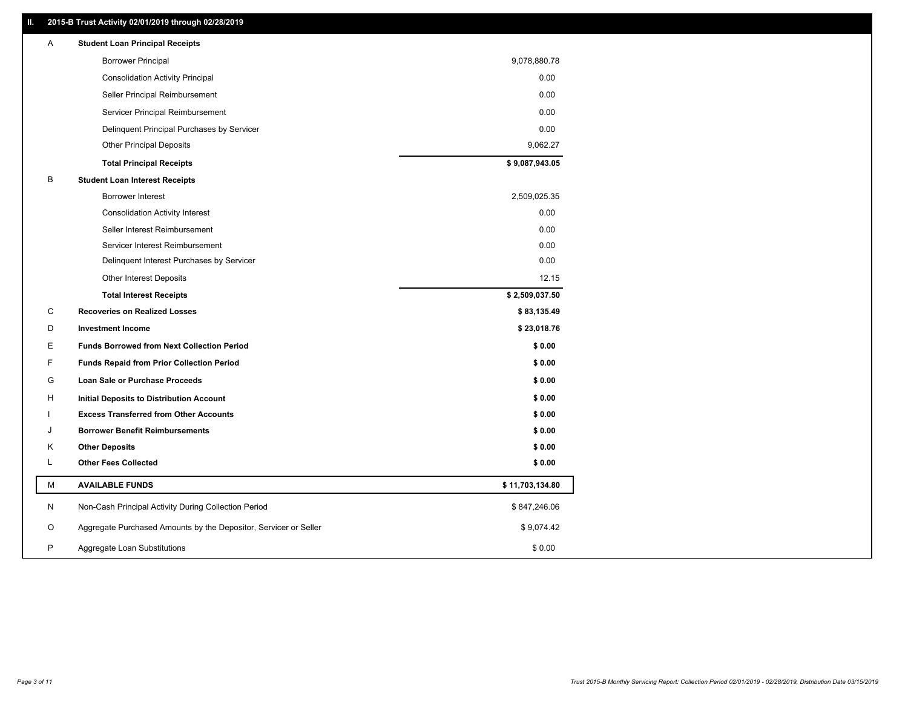### **II. 2015-B Trust Activity 02/01/2019 through 02/28/2019**

| <b>Borrower Principal</b><br>9,078,880.78<br>0.00<br><b>Consolidation Activity Principal</b><br>Seller Principal Reimbursement<br>0.00<br>Servicer Principal Reimbursement<br>0.00<br>0.00<br>Delinquent Principal Purchases by Servicer<br><b>Other Principal Deposits</b><br>9,062.27<br>\$9,087,943.05<br><b>Total Principal Receipts</b><br>в<br><b>Student Loan Interest Receipts</b><br>Borrower Interest<br>2,509,025.35<br>0.00<br><b>Consolidation Activity Interest</b><br>Seller Interest Reimbursement<br>0.00<br>0.00<br>Servicer Interest Reimbursement<br>0.00<br>Delinquent Interest Purchases by Servicer<br>Other Interest Deposits<br>12.15<br><b>Total Interest Receipts</b><br>\$2,509,037.50<br>C<br><b>Recoveries on Realized Losses</b><br>\$83,135.49<br>D<br><b>Investment Income</b><br>\$23,018.76<br>Е<br><b>Funds Borrowed from Next Collection Period</b><br>\$0.00<br>F<br>\$0.00<br><b>Funds Repaid from Prior Collection Period</b><br>G<br>\$0.00<br>Loan Sale or Purchase Proceeds<br>\$0.00<br>н<br>Initial Deposits to Distribution Account<br>\$0.00<br><b>Excess Transferred from Other Accounts</b><br>\$0.00<br><b>Borrower Benefit Reimbursements</b><br>J<br>Κ<br><b>Other Deposits</b><br>\$0.00<br>Г<br><b>Other Fees Collected</b><br>\$0.00<br>М<br><b>AVAILABLE FUNDS</b><br>\$11,703,134.80<br>N<br>Non-Cash Principal Activity During Collection Period<br>\$847,246.06<br>Aggregate Purchased Amounts by the Depositor, Servicer or Seller<br>O<br>\$9,074.42<br>P<br>\$0.00<br>Aggregate Loan Substitutions | Α | <b>Student Loan Principal Receipts</b> |  |
|------------------------------------------------------------------------------------------------------------------------------------------------------------------------------------------------------------------------------------------------------------------------------------------------------------------------------------------------------------------------------------------------------------------------------------------------------------------------------------------------------------------------------------------------------------------------------------------------------------------------------------------------------------------------------------------------------------------------------------------------------------------------------------------------------------------------------------------------------------------------------------------------------------------------------------------------------------------------------------------------------------------------------------------------------------------------------------------------------------------------------------------------------------------------------------------------------------------------------------------------------------------------------------------------------------------------------------------------------------------------------------------------------------------------------------------------------------------------------------------------------------------------------------------------------------------|---|----------------------------------------|--|
|                                                                                                                                                                                                                                                                                                                                                                                                                                                                                                                                                                                                                                                                                                                                                                                                                                                                                                                                                                                                                                                                                                                                                                                                                                                                                                                                                                                                                                                                                                                                                                  |   |                                        |  |
|                                                                                                                                                                                                                                                                                                                                                                                                                                                                                                                                                                                                                                                                                                                                                                                                                                                                                                                                                                                                                                                                                                                                                                                                                                                                                                                                                                                                                                                                                                                                                                  |   |                                        |  |
|                                                                                                                                                                                                                                                                                                                                                                                                                                                                                                                                                                                                                                                                                                                                                                                                                                                                                                                                                                                                                                                                                                                                                                                                                                                                                                                                                                                                                                                                                                                                                                  |   |                                        |  |
|                                                                                                                                                                                                                                                                                                                                                                                                                                                                                                                                                                                                                                                                                                                                                                                                                                                                                                                                                                                                                                                                                                                                                                                                                                                                                                                                                                                                                                                                                                                                                                  |   |                                        |  |
|                                                                                                                                                                                                                                                                                                                                                                                                                                                                                                                                                                                                                                                                                                                                                                                                                                                                                                                                                                                                                                                                                                                                                                                                                                                                                                                                                                                                                                                                                                                                                                  |   |                                        |  |
|                                                                                                                                                                                                                                                                                                                                                                                                                                                                                                                                                                                                                                                                                                                                                                                                                                                                                                                                                                                                                                                                                                                                                                                                                                                                                                                                                                                                                                                                                                                                                                  |   |                                        |  |
|                                                                                                                                                                                                                                                                                                                                                                                                                                                                                                                                                                                                                                                                                                                                                                                                                                                                                                                                                                                                                                                                                                                                                                                                                                                                                                                                                                                                                                                                                                                                                                  |   |                                        |  |
|                                                                                                                                                                                                                                                                                                                                                                                                                                                                                                                                                                                                                                                                                                                                                                                                                                                                                                                                                                                                                                                                                                                                                                                                                                                                                                                                                                                                                                                                                                                                                                  |   |                                        |  |
|                                                                                                                                                                                                                                                                                                                                                                                                                                                                                                                                                                                                                                                                                                                                                                                                                                                                                                                                                                                                                                                                                                                                                                                                                                                                                                                                                                                                                                                                                                                                                                  |   |                                        |  |
|                                                                                                                                                                                                                                                                                                                                                                                                                                                                                                                                                                                                                                                                                                                                                                                                                                                                                                                                                                                                                                                                                                                                                                                                                                                                                                                                                                                                                                                                                                                                                                  |   |                                        |  |
|                                                                                                                                                                                                                                                                                                                                                                                                                                                                                                                                                                                                                                                                                                                                                                                                                                                                                                                                                                                                                                                                                                                                                                                                                                                                                                                                                                                                                                                                                                                                                                  |   |                                        |  |
|                                                                                                                                                                                                                                                                                                                                                                                                                                                                                                                                                                                                                                                                                                                                                                                                                                                                                                                                                                                                                                                                                                                                                                                                                                                                                                                                                                                                                                                                                                                                                                  |   |                                        |  |
|                                                                                                                                                                                                                                                                                                                                                                                                                                                                                                                                                                                                                                                                                                                                                                                                                                                                                                                                                                                                                                                                                                                                                                                                                                                                                                                                                                                                                                                                                                                                                                  |   |                                        |  |
|                                                                                                                                                                                                                                                                                                                                                                                                                                                                                                                                                                                                                                                                                                                                                                                                                                                                                                                                                                                                                                                                                                                                                                                                                                                                                                                                                                                                                                                                                                                                                                  |   |                                        |  |
|                                                                                                                                                                                                                                                                                                                                                                                                                                                                                                                                                                                                                                                                                                                                                                                                                                                                                                                                                                                                                                                                                                                                                                                                                                                                                                                                                                                                                                                                                                                                                                  |   |                                        |  |
|                                                                                                                                                                                                                                                                                                                                                                                                                                                                                                                                                                                                                                                                                                                                                                                                                                                                                                                                                                                                                                                                                                                                                                                                                                                                                                                                                                                                                                                                                                                                                                  |   |                                        |  |
|                                                                                                                                                                                                                                                                                                                                                                                                                                                                                                                                                                                                                                                                                                                                                                                                                                                                                                                                                                                                                                                                                                                                                                                                                                                                                                                                                                                                                                                                                                                                                                  |   |                                        |  |
|                                                                                                                                                                                                                                                                                                                                                                                                                                                                                                                                                                                                                                                                                                                                                                                                                                                                                                                                                                                                                                                                                                                                                                                                                                                                                                                                                                                                                                                                                                                                                                  |   |                                        |  |
|                                                                                                                                                                                                                                                                                                                                                                                                                                                                                                                                                                                                                                                                                                                                                                                                                                                                                                                                                                                                                                                                                                                                                                                                                                                                                                                                                                                                                                                                                                                                                                  |   |                                        |  |
|                                                                                                                                                                                                                                                                                                                                                                                                                                                                                                                                                                                                                                                                                                                                                                                                                                                                                                                                                                                                                                                                                                                                                                                                                                                                                                                                                                                                                                                                                                                                                                  |   |                                        |  |
|                                                                                                                                                                                                                                                                                                                                                                                                                                                                                                                                                                                                                                                                                                                                                                                                                                                                                                                                                                                                                                                                                                                                                                                                                                                                                                                                                                                                                                                                                                                                                                  |   |                                        |  |
|                                                                                                                                                                                                                                                                                                                                                                                                                                                                                                                                                                                                                                                                                                                                                                                                                                                                                                                                                                                                                                                                                                                                                                                                                                                                                                                                                                                                                                                                                                                                                                  |   |                                        |  |
|                                                                                                                                                                                                                                                                                                                                                                                                                                                                                                                                                                                                                                                                                                                                                                                                                                                                                                                                                                                                                                                                                                                                                                                                                                                                                                                                                                                                                                                                                                                                                                  |   |                                        |  |
|                                                                                                                                                                                                                                                                                                                                                                                                                                                                                                                                                                                                                                                                                                                                                                                                                                                                                                                                                                                                                                                                                                                                                                                                                                                                                                                                                                                                                                                                                                                                                                  |   |                                        |  |
|                                                                                                                                                                                                                                                                                                                                                                                                                                                                                                                                                                                                                                                                                                                                                                                                                                                                                                                                                                                                                                                                                                                                                                                                                                                                                                                                                                                                                                                                                                                                                                  |   |                                        |  |
|                                                                                                                                                                                                                                                                                                                                                                                                                                                                                                                                                                                                                                                                                                                                                                                                                                                                                                                                                                                                                                                                                                                                                                                                                                                                                                                                                                                                                                                                                                                                                                  |   |                                        |  |
|                                                                                                                                                                                                                                                                                                                                                                                                                                                                                                                                                                                                                                                                                                                                                                                                                                                                                                                                                                                                                                                                                                                                                                                                                                                                                                                                                                                                                                                                                                                                                                  |   |                                        |  |
|                                                                                                                                                                                                                                                                                                                                                                                                                                                                                                                                                                                                                                                                                                                                                                                                                                                                                                                                                                                                                                                                                                                                                                                                                                                                                                                                                                                                                                                                                                                                                                  |   |                                        |  |
|                                                                                                                                                                                                                                                                                                                                                                                                                                                                                                                                                                                                                                                                                                                                                                                                                                                                                                                                                                                                                                                                                                                                                                                                                                                                                                                                                                                                                                                                                                                                                                  |   |                                        |  |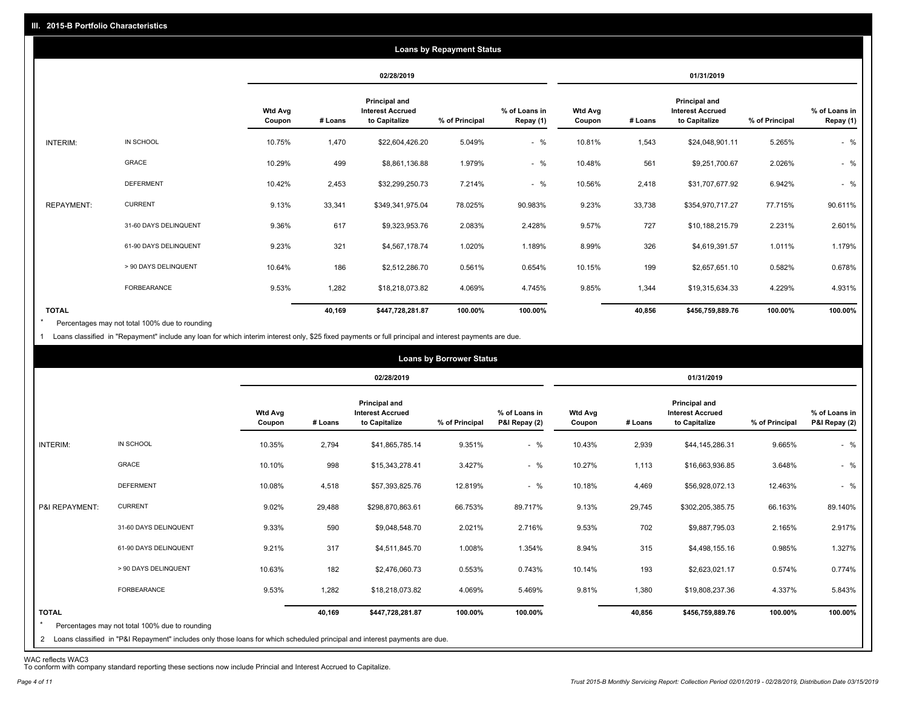|                   |                       |                          |         |                                                           | <b>Loans by Repayment Status</b> |                            |                          |         |                                                           |                |                            |
|-------------------|-----------------------|--------------------------|---------|-----------------------------------------------------------|----------------------------------|----------------------------|--------------------------|---------|-----------------------------------------------------------|----------------|----------------------------|
|                   |                       |                          |         | 02/28/2019                                                |                                  |                            |                          |         | 01/31/2019                                                |                |                            |
|                   |                       | <b>Wtd Avg</b><br>Coupon | # Loans | Principal and<br><b>Interest Accrued</b><br>to Capitalize | % of Principal                   | % of Loans in<br>Repay (1) | <b>Wtd Avg</b><br>Coupon | # Loans | Principal and<br><b>Interest Accrued</b><br>to Capitalize | % of Principal | % of Loans in<br>Repay (1) |
| INTERIM:          | IN SCHOOL             | 10.75%                   | 1,470   | \$22,604,426.20                                           | 5.049%                           | $-$ %                      | 10.81%                   | 1,543   | \$24,048,901.11                                           | 5.265%         | $-$ %                      |
|                   | GRACE                 | 10.29%                   | 499     | \$8,861,136.88                                            | 1.979%                           | $-$ %                      | 10.48%                   | 561     | \$9,251,700.67                                            | 2.026%         | $-$ %                      |
|                   | <b>DEFERMENT</b>      | 10.42%                   | 2,453   | \$32,299,250.73                                           | 7.214%                           | $-$ %                      | 10.56%                   | 2,418   | \$31,707,677.92                                           | 6.942%         | $-$ %                      |
| <b>REPAYMENT:</b> | <b>CURRENT</b>        | 9.13%                    | 33,341  | \$349,341,975.04                                          | 78.025%                          | 90.983%                    | 9.23%                    | 33,738  | \$354,970,717.27                                          | 77.715%        | 90.611%                    |
|                   | 31-60 DAYS DELINQUENT | 9.36%                    | 617     | \$9,323,953.76                                            | 2.083%                           | 2.428%                     | 9.57%                    | 727     | \$10,188,215.79                                           | 2.231%         | 2.601%                     |
|                   | 61-90 DAYS DELINQUENT | 9.23%                    | 321     | \$4,567,178.74                                            | 1.020%                           | 1.189%                     | 8.99%                    | 326     | \$4,619,391.57                                            | 1.011%         | 1.179%                     |
|                   | > 90 DAYS DELINQUENT  | 10.64%                   | 186     | \$2,512,286.70                                            | 0.561%                           | 0.654%                     | 10.15%                   | 199     | \$2,657,651.10                                            | 0.582%         | 0.678%                     |
|                   | FORBEARANCE           | 9.53%                    | 1,282   | \$18,218,073.82                                           | 4.069%                           | 4.745%                     | 9.85%                    | 1,344   | \$19,315,634.33                                           | 4.229%         | 4.931%                     |
| <b>TOTAL</b>      |                       |                          | 40,169  | \$447,728,281.87                                          | 100.00%                          | 100.00%                    |                          | 40,856  | \$456,759,889.76                                          | 100.00%        | 100.00%                    |

Percentages may not total 100% due to rounding  $\star$ 

1 Loans classified in "Repayment" include any loan for which interim interest only, \$25 fixed payments or full principal and interest payments are due.

|                         |                                                                                                                                                                                |                          |         |                                                           | <b>Loans by Borrower Status</b> |                                |                          |         |                                                                  |                |                                |
|-------------------------|--------------------------------------------------------------------------------------------------------------------------------------------------------------------------------|--------------------------|---------|-----------------------------------------------------------|---------------------------------|--------------------------------|--------------------------|---------|------------------------------------------------------------------|----------------|--------------------------------|
|                         |                                                                                                                                                                                |                          |         | 02/28/2019                                                |                                 |                                |                          |         | 01/31/2019                                                       |                |                                |
|                         |                                                                                                                                                                                | <b>Wtd Avg</b><br>Coupon | # Loans | Principal and<br><b>Interest Accrued</b><br>to Capitalize | % of Principal                  | % of Loans in<br>P&I Repay (2) | <b>Wtd Avg</b><br>Coupon | # Loans | <b>Principal and</b><br><b>Interest Accrued</b><br>to Capitalize | % of Principal | % of Loans in<br>P&I Repay (2) |
| INTERIM:                | IN SCHOOL                                                                                                                                                                      | 10.35%                   | 2,794   | \$41,865,785.14                                           | 9.351%                          | $-$ %                          | 10.43%                   | 2,939   | \$44,145,286.31                                                  | 9.665%         | $-$ %                          |
|                         | GRACE                                                                                                                                                                          | 10.10%                   | 998     | \$15,343,278.41                                           | 3.427%                          | $-$ %                          | 10.27%                   | 1,113   | \$16,663,936.85                                                  | 3.648%         | $-$ %                          |
|                         | <b>DEFERMENT</b>                                                                                                                                                               | 10.08%                   | 4,518   | \$57,393,825.76                                           | 12.819%                         | $-$ %                          | 10.18%                   | 4,469   | \$56,928,072.13                                                  | 12.463%        | $-$ %                          |
| P&I REPAYMENT:          | <b>CURRENT</b>                                                                                                                                                                 | 9.02%                    | 29,488  | \$298,870,863.61                                          | 66.753%                         | 89.717%                        | 9.13%                    | 29,745  | \$302,205,385.75                                                 | 66.163%        | 89.140%                        |
|                         | 31-60 DAYS DELINQUENT                                                                                                                                                          | 9.33%                    | 590     | \$9,048,548.70                                            | 2.021%                          | 2.716%                         | 9.53%                    | 702     | \$9,887,795.03                                                   | 2.165%         | 2.917%                         |
|                         | 61-90 DAYS DELINQUENT                                                                                                                                                          | 9.21%                    | 317     | \$4,511,845.70                                            | 1.008%                          | 1.354%                         | 8.94%                    | 315     | \$4,498,155.16                                                   | 0.985%         | 1.327%                         |
|                         | > 90 DAYS DELINQUENT                                                                                                                                                           | 10.63%                   | 182     | \$2,476,060.73                                            | 0.553%                          | 0.743%                         | 10.14%                   | 193     | \$2,623,021.17                                                   | 0.574%         | 0.774%                         |
|                         | <b>FORBEARANCE</b>                                                                                                                                                             | 9.53%                    | 1,282   | \$18,218,073.82                                           | 4.069%                          | 5.469%                         | 9.81%                    | 1,380   | \$19,808,237.36                                                  | 4.337%         | 5.843%                         |
| <b>TOTAL</b><br>$\star$ | Percentages may not total 100% due to rounding<br>2 Loans classified in "P&I Repayment" includes only those loans for which scheduled principal and interest payments are due. |                          | 40,169  | \$447,728,281.87                                          | 100.00%                         | 100.00%                        |                          | 40,856  | \$456,759,889.76                                                 | 100.00%        | 100.00%                        |

WAC reflects WAC3 To conform with company standard reporting these sections now include Princial and Interest Accrued to Capitalize.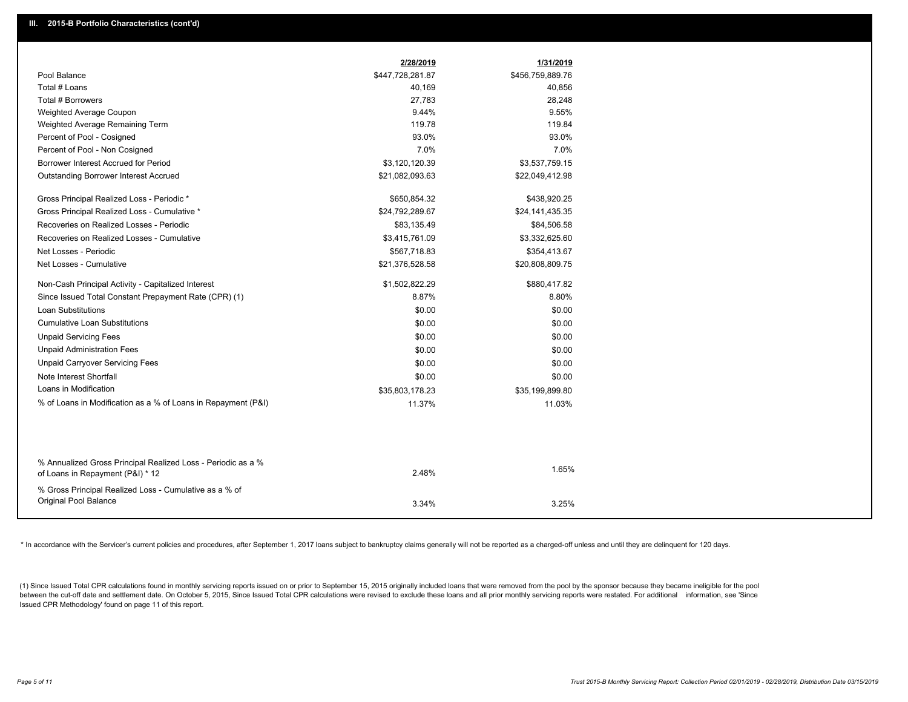|                                                                                                  | 2/28/2019        | 1/31/2019        |
|--------------------------------------------------------------------------------------------------|------------------|------------------|
| Pool Balance                                                                                     | \$447,728,281.87 | \$456,759,889.76 |
| Total # Loans                                                                                    | 40,169           | 40,856           |
| Total # Borrowers                                                                                | 27,783           | 28,248           |
| Weighted Average Coupon                                                                          | 9.44%            | 9.55%            |
| Weighted Average Remaining Term                                                                  | 119.78           | 119.84           |
| Percent of Pool - Cosigned                                                                       | 93.0%            | 93.0%            |
| Percent of Pool - Non Cosigned                                                                   | 7.0%             | 7.0%             |
| Borrower Interest Accrued for Period                                                             | \$3,120,120.39   | \$3,537,759.15   |
| <b>Outstanding Borrower Interest Accrued</b>                                                     | \$21,082,093.63  | \$22,049,412.98  |
| Gross Principal Realized Loss - Periodic *                                                       | \$650,854.32     | \$438,920.25     |
| Gross Principal Realized Loss - Cumulative *                                                     | \$24,792,289.67  | \$24,141,435.35  |
| Recoveries on Realized Losses - Periodic                                                         | \$83,135.49      | \$84,506.58      |
| Recoveries on Realized Losses - Cumulative                                                       | \$3,415,761.09   | \$3,332,625.60   |
| Net Losses - Periodic                                                                            | \$567,718.83     | \$354,413.67     |
| Net Losses - Cumulative                                                                          | \$21,376,528.58  | \$20,808,809.75  |
| Non-Cash Principal Activity - Capitalized Interest                                               | \$1,502,822.29   | \$880,417.82     |
| Since Issued Total Constant Prepayment Rate (CPR) (1)                                            | 8.87%            | 8.80%            |
| <b>Loan Substitutions</b>                                                                        | \$0.00           | \$0.00           |
| <b>Cumulative Loan Substitutions</b>                                                             | \$0.00           | \$0.00           |
| <b>Unpaid Servicing Fees</b>                                                                     | \$0.00           | \$0.00           |
| <b>Unpaid Administration Fees</b>                                                                | \$0.00           | \$0.00           |
| <b>Unpaid Carryover Servicing Fees</b>                                                           | \$0.00           | \$0.00           |
| Note Interest Shortfall                                                                          | \$0.00           | \$0.00           |
| Loans in Modification                                                                            | \$35,803,178.23  | \$35,199,899.80  |
| % of Loans in Modification as a % of Loans in Repayment (P&I)                                    | 11.37%           | 11.03%           |
|                                                                                                  |                  |                  |
|                                                                                                  |                  |                  |
| % Annualized Gross Principal Realized Loss - Periodic as a %<br>of Loans in Repayment (P&I) * 12 | 2.48%            | 1.65%            |
|                                                                                                  |                  |                  |
| % Gross Principal Realized Loss - Cumulative as a % of<br>Original Pool Balance                  |                  |                  |
|                                                                                                  | 3.34%            | 3.25%            |

\* In accordance with the Servicer's current policies and procedures, after September 1, 2017 loans subject to bankruptcy claims generally will not be reported as a charged-off unless and until they are delinquent for 120 d

(1) Since Issued Total CPR calculations found in monthly servicing reports issued on or prior to September 15, 2015 originally included loans that were removed from the pool by the sponsor because they became ineligible fo between the cut-off date and settlement date. On October 5, 2015, Since Issued Total CPR calculations were revised to exclude these loans and all prior monthly servicing reports were restated. For additional information, s Issued CPR Methodology' found on page 11 of this report.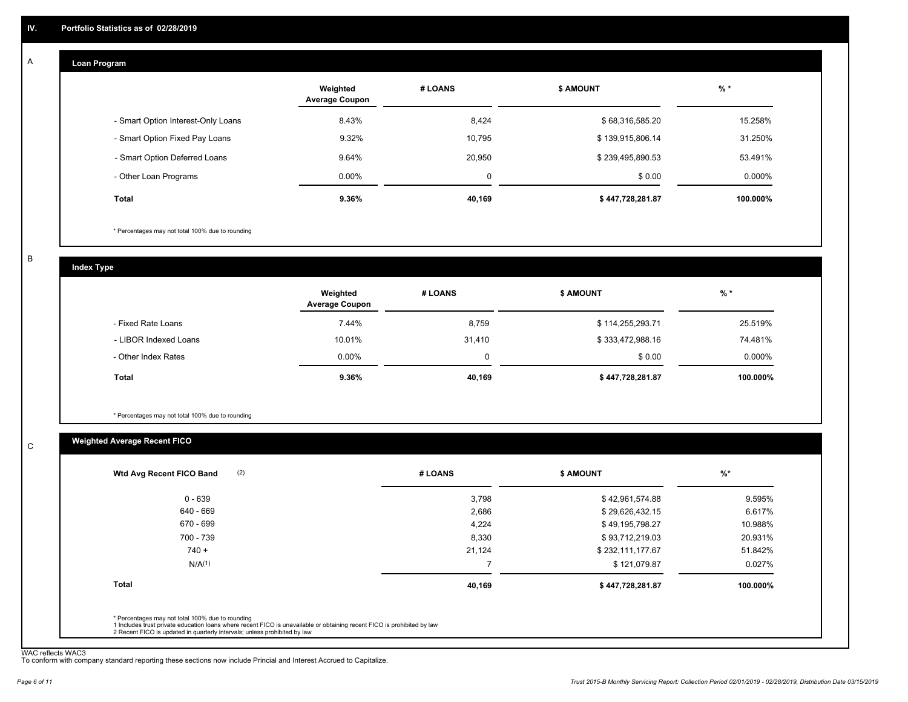#### **Loan Program**  A

|                                    | Weighted<br><b>Average Coupon</b> | # LOANS | <b>\$ AMOUNT</b> | $%$ *    |
|------------------------------------|-----------------------------------|---------|------------------|----------|
| - Smart Option Interest-Only Loans | 8.43%                             | 8,424   | \$68,316,585.20  | 15.258%  |
| - Smart Option Fixed Pay Loans     | 9.32%                             | 10,795  | \$139,915,806.14 | 31.250%  |
| - Smart Option Deferred Loans      | 9.64%                             | 20,950  | \$239,495,890.53 | 53.491%  |
| - Other Loan Programs              | $0.00\%$                          | 0       | \$0.00           | 0.000%   |
| <b>Total</b>                       | 9.36%                             | 40,169  | \$447,728,281.87 | 100.000% |

\* Percentages may not total 100% due to rounding

B

C

**Index Type**

|                       | Weighted<br><b>Average Coupon</b> | # LOANS | <b>\$ AMOUNT</b> | % *       |
|-----------------------|-----------------------------------|---------|------------------|-----------|
| - Fixed Rate Loans    | 7.44%                             | 8,759   | \$114,255,293.71 | 25.519%   |
| - LIBOR Indexed Loans | 10.01%                            | 31,410  | \$333,472,988.16 | 74.481%   |
| - Other Index Rates   | $0.00\%$                          |         | \$0.00           | $0.000\%$ |
| Total                 | 9.36%                             | 40,169  | \$447,728,281.87 | 100.000%  |

\* Percentages may not total 100% due to rounding

### **Weighted Average Recent FICO**

| \$42,961,574.88<br>\$29,626,432.15<br>\$49,195,798.27 | 9.595%<br>6.617%<br>10.988% |
|-------------------------------------------------------|-----------------------------|
|                                                       |                             |
|                                                       |                             |
|                                                       |                             |
| \$93,712,219.03                                       | 20.931%                     |
| \$232,111,177.67                                      | 51.842%                     |
| \$121,079.87                                          | 0.027%                      |
| \$447,728,281.87                                      | 100.000%                    |
|                                                       |                             |

WAC reflects WAC3 To conform with company standard reporting these sections now include Princial and Interest Accrued to Capitalize.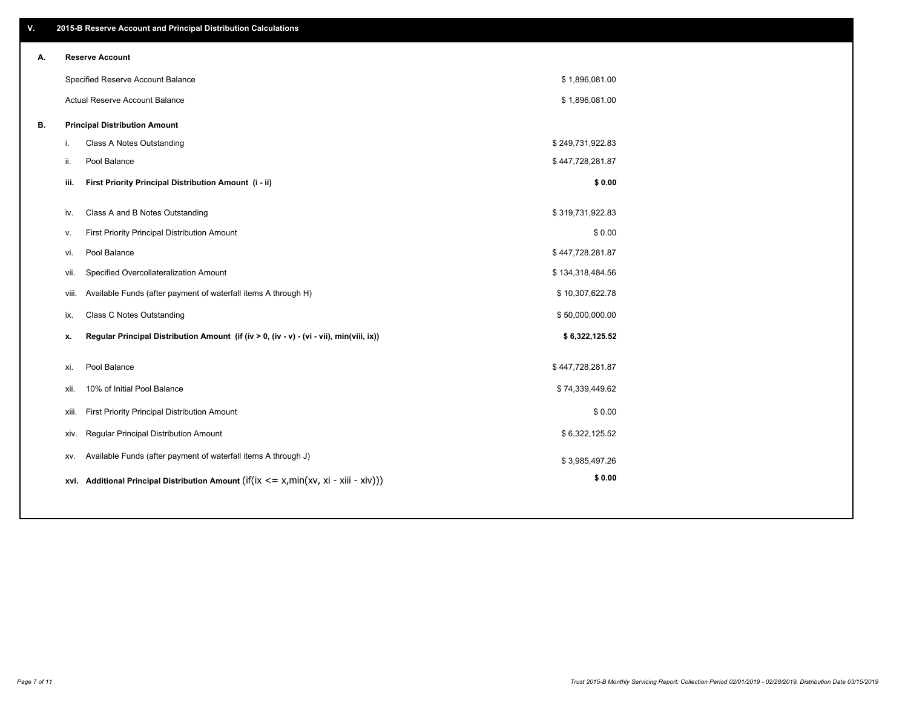| V. | 2015-B Reserve Account and Principal Distribution Calculations                                 |                  |  |
|----|------------------------------------------------------------------------------------------------|------------------|--|
| А. | <b>Reserve Account</b>                                                                         |                  |  |
|    | Specified Reserve Account Balance                                                              | \$1,896,081.00   |  |
|    | Actual Reserve Account Balance                                                                 | \$1,896,081.00   |  |
| В. | <b>Principal Distribution Amount</b>                                                           |                  |  |
|    | Class A Notes Outstanding<br>j.                                                                | \$249,731,922.83 |  |
|    | Pool Balance<br>ii.                                                                            | \$447,728,281.87 |  |
|    | First Priority Principal Distribution Amount (i - ii)<br>iii.                                  | \$0.00           |  |
|    |                                                                                                |                  |  |
|    | Class A and B Notes Outstanding<br>iv.                                                         | \$319,731,922.83 |  |
|    | First Priority Principal Distribution Amount<br>v.                                             | \$0.00           |  |
|    | Pool Balance<br>vi.                                                                            | \$447,728,281.87 |  |
|    | Specified Overcollateralization Amount<br>vii.                                                 | \$134,318,484.56 |  |
|    | Available Funds (after payment of waterfall items A through H)<br>viii.                        | \$10,307,622.78  |  |
|    | <b>Class C Notes Outstanding</b><br>ix.                                                        | \$50,000,000.00  |  |
|    | Regular Principal Distribution Amount (if (iv > 0, (iv - v) - (vi - vii), min(viii, ix))<br>x. | \$6,322,125.52   |  |
|    |                                                                                                |                  |  |
|    | Pool Balance<br>xi.                                                                            | \$447,728,281.87 |  |
|    | 10% of Initial Pool Balance<br>xii.                                                            | \$74,339,449.62  |  |
|    | First Priority Principal Distribution Amount<br>xiii.                                          | \$0.00           |  |
|    | Regular Principal Distribution Amount<br>XIV.                                                  | \$6,322,125.52   |  |
|    | Available Funds (after payment of waterfall items A through J)<br>XV.                          | \$3,985,497.26   |  |
|    | xvi. Additional Principal Distribution Amount (if(ix $\lt$ = x, min(xv, xi - xiii - xiv)))     | \$0.00           |  |
|    |                                                                                                |                  |  |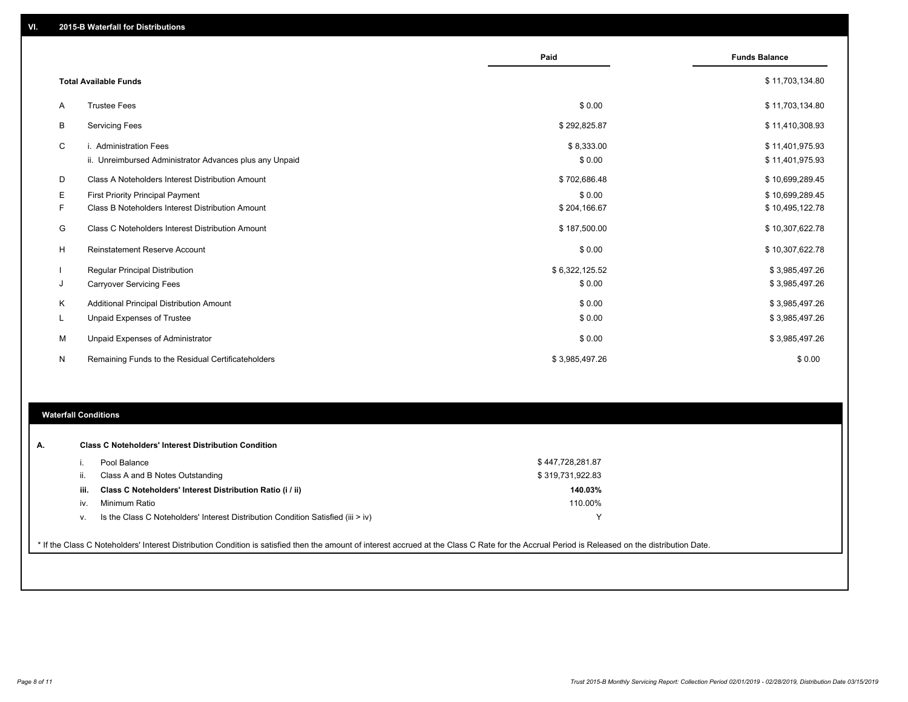|   |                                                                                   | Paid                 | <b>Funds Balance</b>               |
|---|-----------------------------------------------------------------------------------|----------------------|------------------------------------|
|   | <b>Total Available Funds</b>                                                      |                      | \$11,703,134.80                    |
| Α | <b>Trustee Fees</b>                                                               | \$0.00               | \$11,703,134.80                    |
| В | <b>Servicing Fees</b>                                                             | \$292,825.87         | \$11,410,308.93                    |
| C | i. Administration Fees<br>ii. Unreimbursed Administrator Advances plus any Unpaid | \$8,333.00<br>\$0.00 | \$11,401,975.93<br>\$11,401,975.93 |
| D | Class A Noteholders Interest Distribution Amount                                  | \$702,686.48         | \$10,699,289.45                    |
| Е | <b>First Priority Principal Payment</b>                                           | \$0.00               | \$10,699,289.45                    |
| F | Class B Noteholders Interest Distribution Amount                                  | \$204,166.67         | \$10,495,122.78                    |
| G | Class C Noteholders Interest Distribution Amount                                  | \$187,500.00         | \$10,307,622.78                    |
| н | Reinstatement Reserve Account                                                     | \$0.00               | \$10,307,622.78                    |
|   | <b>Regular Principal Distribution</b>                                             | \$6,322,125.52       | \$3,985,497.26                     |
| J | <b>Carryover Servicing Fees</b>                                                   | \$0.00               | \$3,985,497.26                     |
| Κ | Additional Principal Distribution Amount                                          | \$0.00               | \$3,985,497.26                     |
| L | <b>Unpaid Expenses of Trustee</b>                                                 | \$0.00               | \$3,985,497.26                     |
| М | Unpaid Expenses of Administrator                                                  | \$0.00               | \$3,985,497.26                     |
| N | Remaining Funds to the Residual Certificateholders                                | \$3,985,497.26       | \$0.00                             |
|   |                                                                                   |                      |                                    |
|   |                                                                                   |                      |                                    |

## **Waterfall Conditions**

| А. |      | <b>Class C Noteholders' Interest Distribution Condition</b><br>Pool Balance                                                                                                                     | \$447,728,281.87 |  |
|----|------|-------------------------------------------------------------------------------------------------------------------------------------------------------------------------------------------------|------------------|--|
| Ш. |      | Class A and B Notes Outstanding                                                                                                                                                                 | \$319,731,922.83 |  |
|    | iii. | Class C Noteholders' Interest Distribution Ratio (i / ii)                                                                                                                                       | 140.03%          |  |
|    | iv.  | Minimum Ratio                                                                                                                                                                                   | 110.00%          |  |
| V. |      | Is the Class C Noteholders' Interest Distribution Condition Satisfied (iii > iv)                                                                                                                | $\checkmark$     |  |
|    |      | * If the Class C Noteholders' Interest Distribution Condition is satisfied then the amount of interest accrued at the Class C Rate for the Accrual Period is Released on the distribution Date. |                  |  |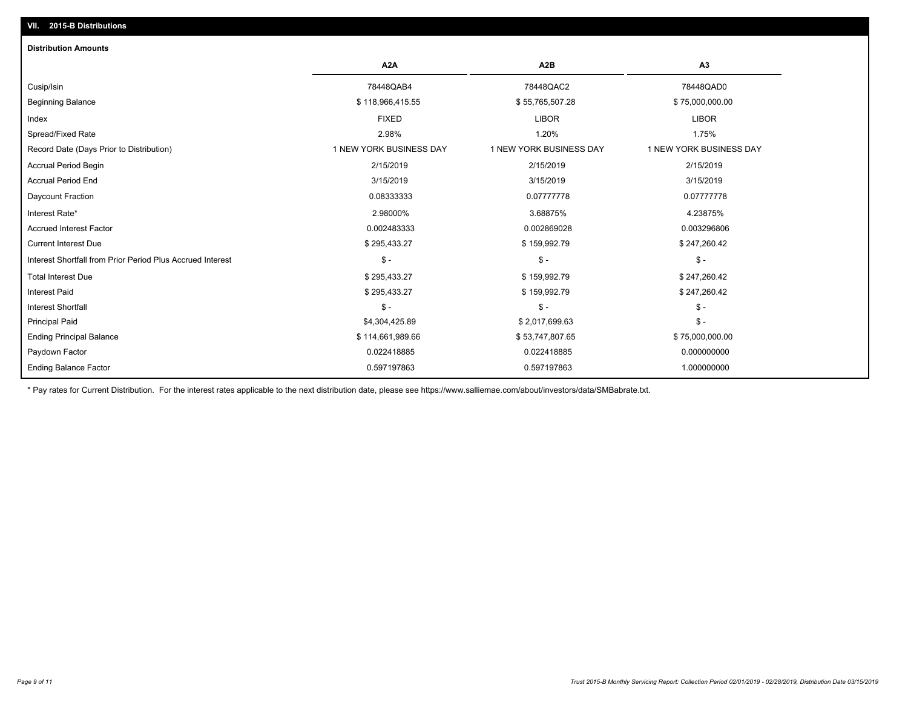### **VII. 2015-B Distributions**

| <b>Distribution Amounts</b>                                |                         |                         |                         |
|------------------------------------------------------------|-------------------------|-------------------------|-------------------------|
|                                                            | A <sub>2</sub> A        | A <sub>2</sub> B        | A <sub>3</sub>          |
| Cusip/Isin                                                 | 78448QAB4               | 78448QAC2               | 78448QAD0               |
| <b>Beginning Balance</b>                                   | \$118,966,415.55        | \$55,765,507.28         | \$75,000,000.00         |
| Index                                                      | <b>FIXED</b>            | <b>LIBOR</b>            | <b>LIBOR</b>            |
| Spread/Fixed Rate                                          | 2.98%                   | 1.20%                   | 1.75%                   |
| Record Date (Days Prior to Distribution)                   | 1 NEW YORK BUSINESS DAY | 1 NEW YORK BUSINESS DAY | 1 NEW YORK BUSINESS DAY |
| <b>Accrual Period Begin</b>                                | 2/15/2019               | 2/15/2019               | 2/15/2019               |
| <b>Accrual Period End</b>                                  | 3/15/2019               | 3/15/2019               | 3/15/2019               |
| Daycount Fraction                                          | 0.08333333              | 0.07777778              | 0.07777778              |
| Interest Rate*                                             | 2.98000%                | 3.68875%                | 4.23875%                |
| Accrued Interest Factor                                    | 0.002483333             | 0.002869028             | 0.003296806             |
| <b>Current Interest Due</b>                                | \$295,433.27            | \$159,992.79            | \$247,260.42            |
| Interest Shortfall from Prior Period Plus Accrued Interest | $\mathsf{\$}$ -         | $\mathcal{S}$ -         | $\mathsf{\$}$ -         |
| <b>Total Interest Due</b>                                  | \$295,433.27            | \$159,992.79            | \$247,260.42            |
| <b>Interest Paid</b>                                       | \$295,433.27            | \$159,992.79            | \$247,260.42            |
| <b>Interest Shortfall</b>                                  | $\mathsf{\$}$ -         | $\mathsf{\$}$ -         | $$ -$                   |
| <b>Principal Paid</b>                                      | \$4,304,425.89          | \$2,017,699.63          | $$ -$                   |
| <b>Ending Principal Balance</b>                            | \$114,661,989.66        | \$53,747,807.65         | \$75,000,000.00         |
| Paydown Factor                                             | 0.022418885             | 0.022418885             | 0.000000000             |
| <b>Ending Balance Factor</b>                               | 0.597197863             | 0.597197863             | 1.000000000             |

\* Pay rates for Current Distribution. For the interest rates applicable to the next distribution date, please see https://www.salliemae.com/about/investors/data/SMBabrate.txt.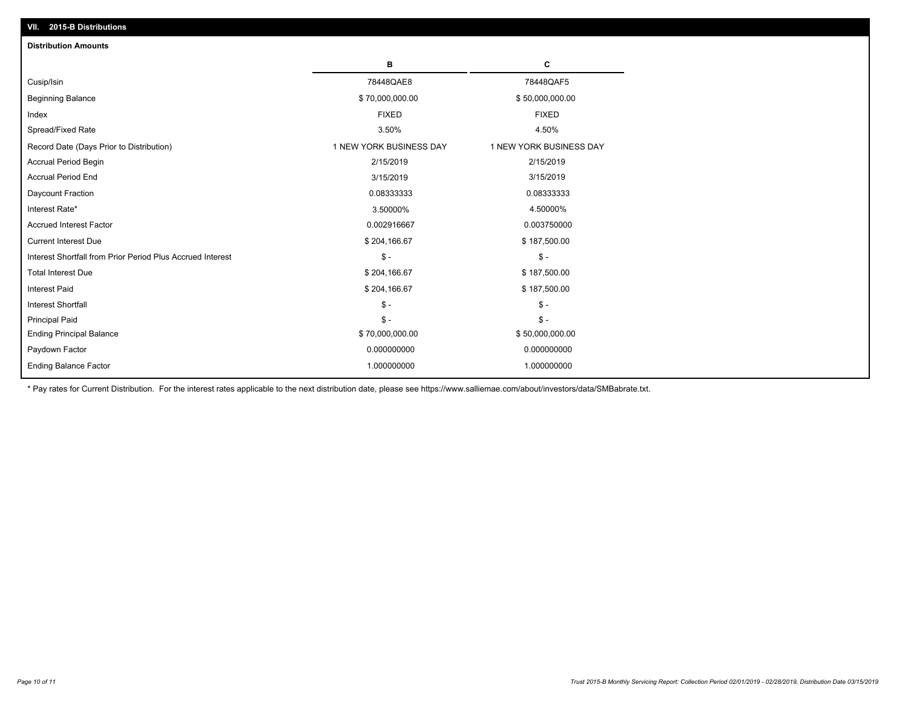| <b>Distribution Amounts</b>                                |                         |                         |
|------------------------------------------------------------|-------------------------|-------------------------|
|                                                            | в                       | C                       |
| Cusip/Isin                                                 | 78448QAE8               | 78448QAF5               |
| <b>Beginning Balance</b>                                   | \$70,000,000.00         | \$50,000,000.00         |
| Index                                                      | <b>FIXED</b>            | <b>FIXED</b>            |
| Spread/Fixed Rate                                          | 3.50%                   | 4.50%                   |
| Record Date (Days Prior to Distribution)                   | 1 NEW YORK BUSINESS DAY | 1 NEW YORK BUSINESS DAY |
| <b>Accrual Period Begin</b>                                | 2/15/2019               | 2/15/2019               |
| <b>Accrual Period End</b>                                  | 3/15/2019               | 3/15/2019               |
| Daycount Fraction                                          | 0.08333333              | 0.08333333              |
| Interest Rate*                                             | 3.50000%                | 4.50000%                |
| <b>Accrued Interest Factor</b>                             | 0.002916667             | 0.003750000             |
| <b>Current Interest Due</b>                                | \$204,166.67            | \$187,500.00            |
| Interest Shortfall from Prior Period Plus Accrued Interest | $\mathsf{\$}$ -         | $\mathsf{\$}$ -         |
| <b>Total Interest Due</b>                                  | \$204,166.67            | \$187,500.00            |
| Interest Paid                                              | \$204,166.67            | \$187,500.00            |
| Interest Shortfall                                         | $\mathsf{\$}$ -         | $\mathsf{\$}$ -         |
| <b>Principal Paid</b>                                      | $\mathsf{\$}$ -         | $$ -$                   |
| <b>Ending Principal Balance</b>                            | \$70,000,000.00         | \$50,000,000.00         |
| Paydown Factor                                             | 0.000000000             | 0.000000000             |
| <b>Ending Balance Factor</b>                               | 1.000000000             | 1.000000000             |

\* Pay rates for Current Distribution. For the interest rates applicable to the next distribution date, please see https://www.salliemae.com/about/investors/data/SMBabrate.txt.

**VII. 2015-B Distributions**